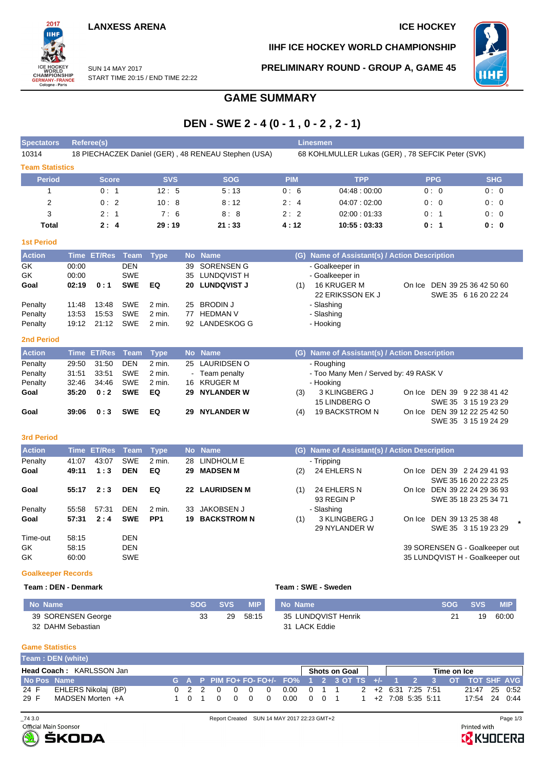## **LANXESS ARENA ICE HOCKEY**

ПHI SUN 14 MAY 2017 WORLD<br>CHAMPIONSHIP<br>GERMANY-FRANCE<br>Cologne - Paris START TIME 20:15 / END TIME 22:22

2017

**IIHF ICE HOCKEY WORLD CHAMPIONSHIP**

**PRELIMINARY ROUND - GROUP A, GAME 45**



# **GAME SUMMARY**

|  | DEN - SWE 2 - 4 (0 - 1, 0 - 2, 2 - 1) |
|--|---------------------------------------|
|--|---------------------------------------|

| <b>Spectators</b>         |                         | Referee(s)         |                                        |                 |                |                                                        |            | <b>Linesmen</b>                                                       |                                                       |  |
|---------------------------|-------------------------|--------------------|----------------------------------------|-----------------|----------------|--------------------------------------------------------|------------|-----------------------------------------------------------------------|-------------------------------------------------------|--|
| 10314                     |                         |                    |                                        |                 |                | 18 PIECHACZEK Daniel (GER), 48 RENEAU Stephen (USA)    |            | 68 KOHLMULLER Lukas (GER), 78 SEFCIK Peter (SVK)                      |                                                       |  |
| <b>Team Statistics</b>    |                         |                    |                                        |                 |                |                                                        |            |                                                                       |                                                       |  |
| <b>Period</b>             |                         | <b>Score</b>       |                                        | <b>SVS</b>      |                | <b>SOG</b>                                             | <b>PIM</b> | <b>TPP</b>                                                            | <b>SHG</b><br><b>PPG</b>                              |  |
| 1                         |                         | 0:1                |                                        | 12:5            |                | 5:13                                                   | 0:6        | 04:48:00:00                                                           | 0:0<br>0:0                                            |  |
| $\overline{2}$            |                         | 0:2                |                                        | 10:8            |                | 8:12                                                   | 2:4        | 04:07:02:00                                                           | 0:0<br>0:0                                            |  |
| 3                         |                         | 2:1                |                                        | 7:6             |                | 8:8                                                    | 2:2        | 02:00:01:33                                                           | 0:1<br>0:0                                            |  |
| <b>Total</b>              |                         | 2:4                |                                        | 29:19           |                | 21:33                                                  | 4:12       | 10:55:03:33                                                           | 0: 1<br>0: 0                                          |  |
| <b>1st Period</b>         |                         |                    |                                        |                 |                |                                                        |            |                                                                       |                                                       |  |
| <b>Action</b>             | Time                    | <b>ET/Res</b>      | Team                                   | <b>Type</b>     | <b>No</b>      | <b>Name</b>                                            |            | (G) Name of Assistant(s) / Action Description                         |                                                       |  |
| GK<br>GK<br>Goal          | 00:00<br>00:00<br>02:19 | 0:1                | <b>DEN</b><br><b>SWE</b><br><b>SWE</b> | EQ              | 39<br>35<br>20 | <b>SORENSEN G</b><br>LUNDQVIST H<br><b>LUNDQVIST J</b> | (1)        | - Goalkeeper in<br>- Goalkeeper in<br>16 KRUGER M<br>22 ERIKSSON EK J | On Ice DEN 39 25 36 42 50 60<br>SWE 35 6 16 20 22 24  |  |
| Penalty                   | 11:48                   | 13:48              | <b>SWE</b>                             | 2 min.          | 25             | <b>BRODIN J</b>                                        |            | - Slashing                                                            |                                                       |  |
| Penalty                   | 13:53                   | 15:53              | <b>SWE</b>                             | $2$ min.        | 77             | <b>HEDMAN V</b>                                        |            | - Slashing                                                            |                                                       |  |
| Penalty                   | 19:12                   | 21:12              | <b>SWE</b>                             | $2$ min.        |                | 92 LANDESKOG G                                         |            | - Hooking                                                             |                                                       |  |
| <b>2nd Period</b>         |                         |                    |                                        |                 |                |                                                        |            |                                                                       |                                                       |  |
| <b>Action</b>             | <b>Time</b>             | <b>ET/Res</b>      | <b>Team</b>                            | <b>Type</b>     | <b>No</b>      | <b>Name</b>                                            |            | (G) Name of Assistant(s) / Action Description                         |                                                       |  |
| Penalty                   | 29:50                   | 31:50              | <b>DEN</b>                             | 2 min.          |                | 25 LAURIDSEN O                                         |            | - Roughing                                                            |                                                       |  |
| Penalty                   | 31:51                   | 33:51              | <b>SWE</b>                             | $2$ min.        |                | Team penalty                                           |            | - Too Many Men / Served by: 49 RASK V                                 |                                                       |  |
| Penalty                   | 32:46                   | 34:46              | <b>SWE</b>                             | 2 min.          | 16             | <b>KRUGER M</b>                                        |            | - Hooking                                                             |                                                       |  |
| Goal                      | 35:20                   | 0:2                | <b>SWE</b>                             | EQ              | 29             | <b>NYLANDER W</b>                                      | (3)        | 3 KLINGBERG J                                                         | On Ice DEN 39 9 22 38 41 42                           |  |
|                           |                         |                    |                                        |                 |                |                                                        |            | 15 LINDBERG O                                                         | SWE 35 3 15 19 23 29                                  |  |
| Goal                      | 39:06                   | 0:3                | <b>SWE</b>                             | EQ              | 29             | <b>NYLANDER W</b>                                      | (4)        | <b>19 BACKSTROM N</b>                                                 | On Ice DEN 39 12 22 25 42 50<br>SWE 35 3 15 19 24 29  |  |
| <b>3rd Period</b>         |                         |                    |                                        |                 |                |                                                        |            |                                                                       |                                                       |  |
| <b>Action</b>             |                         | <b>Time ET/Res</b> | <b>Team</b>                            | <b>Type</b>     | <b>No</b>      | <b>Name</b>                                            |            | (G) Name of Assistant(s) / Action Description                         |                                                       |  |
| Penalty                   | 41:07                   | 43:07              | <b>SWE</b>                             | 2 min.          | 28             | <b>LINDHOLM E</b>                                      |            | - Tripping                                                            |                                                       |  |
| Goal                      | 49:11                   | 1:3                | <b>DEN</b>                             | EQ              | 29             | <b>MADSEN M</b>                                        | (2)        | 24 EHLERS N                                                           | On Ice DEN 39 2 24 29 41 93                           |  |
|                           |                         |                    |                                        |                 |                |                                                        |            |                                                                       | SWE 35 16 20 22 23 25                                 |  |
| Goal                      | 55:17                   | 2:3                | <b>DEN</b>                             | EQ              | 22             | <b>LAURIDSEN M</b>                                     | (1)        | 24 EHLERS N<br>93 REGIN P                                             | On Ice DEN 39 22 24 29 36 93<br>SWE 35 18 23 25 34 71 |  |
| Penalty                   | 55:58                   | 57:31              | <b>DEN</b>                             | 2 min.          | 33             | <b>JAKOBSEN J</b>                                      |            | - Slashing                                                            |                                                       |  |
| Goal                      | 57:31                   | 2:4                | <b>SWE</b>                             | PP <sub>1</sub> | 19             | <b>BACKSTROM N</b>                                     | (1)        | 3 KLINGBERG J<br>29 NYLANDER W                                        | On Ice DEN 39 13 25 38 48<br>SWE 35 3 15 19 23 29     |  |
| Time-out                  | 58:15                   |                    | <b>DEN</b>                             |                 |                |                                                        |            |                                                                       |                                                       |  |
| GK                        | 58:15                   |                    | <b>DEN</b>                             |                 |                |                                                        |            |                                                                       | 39 SORENSEN G - Goalkeeper out                        |  |
| GK                        | 60:00                   |                    | <b>SWE</b>                             |                 |                |                                                        |            |                                                                       | 35 LUNDQVIST H - Goalkeeper out                       |  |
| <b>Goalkeeper Records</b> |                         |                    |                                        |                 |                |                                                        |            |                                                                       |                                                       |  |

### **Team : DEN - Denmark Team : SWE - Sweden**

| l No Name          | <b>SOG</b> | <b>SVS</b> | <b>MIP</b> | No Name             | <b>SOG</b> | <b>SVS</b> | <b>MIP</b> |
|--------------------|------------|------------|------------|---------------------|------------|------------|------------|
| 39 SORENSEN George | 33         | 29         | 58:15      | 35 LUNDQVIST Henrik |            | 19         | 60:00      |
| 32 DAHM Sebastian  |            |            |            | 31 LACK Eddie       |            |            |            |

### **Game Statistics**

|             | Team: DEN (white)               |  |  |  |               |                                                                                  |  |               |  |  |             |               |  |
|-------------|---------------------------------|--|--|--|---------------|----------------------------------------------------------------------------------|--|---------------|--|--|-------------|---------------|--|
|             | <b>Head Coach: KARLSSON Jan</b> |  |  |  |               |                                                                                  |  | Shots on Goal |  |  | Time on Ice |               |  |
| No Pos Name |                                 |  |  |  |               | $^{\prime}$ G A P PIM FO+ FO- FO+/- FO% 1 2 3 OT TS +/- 1 2 3 OT TOT SHF AVG     |  |               |  |  |             |               |  |
| 24 F        | EHLERS Nikolaj (BP)             |  |  |  | 0 2 2 0 0 0 0 | $0.00 \quad 0 \quad 1 \quad 1 \quad 2 \quad +2 \quad 6.31 \quad 7.25 \quad 7.51$ |  |               |  |  |             | 21:47 25 0:52 |  |
| 29 F        | MADSEN Morten +A                |  |  |  | 1 0 1 0 0 0 0 | $0.00 \quad 0 \quad 0 \quad 1 \quad 1 \quad +2 \quad 7.08 \quad 5.35 \quad 5.11$ |  |               |  |  |             | 17:54 24 0:44 |  |



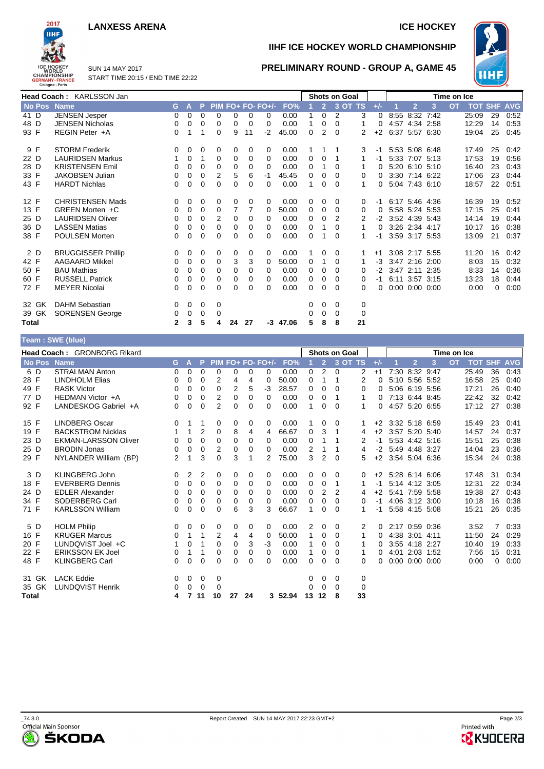### **LANXESS ARENA ICE HOCKEY**

SUN 14 MAY 2017



**IIHF ICE HOCKEY WORLD CHAMPIONSHIP**

**PRELIMINARY ROUND - GROUP A, GAME 45**



START TIME 20:15 / END TIME 22:22

|             | Head Coach: KARLSSON Jan  |              |   |          |          |          |                |                   |            |             |                | <b>Shots on Goal</b> |         |          |                     |                      |   | Time on Ice |            |            |            |
|-------------|---------------------------|--------------|---|----------|----------|----------|----------------|-------------------|------------|-------------|----------------|----------------------|---------|----------|---------------------|----------------------|---|-------------|------------|------------|------------|
| No Pos Name |                           | G.           | А | Þ        |          |          |                | PIM FO+ FO- FO+/- | FO%        |             | $\overline{2}$ |                      | 3 OT TS | $+/-$    |                     | $\overline{2}$       | 3 | <b>OT</b>   | <b>TOT</b> | <b>SHF</b> | <b>AVG</b> |
| 41 D        | <b>JENSEN Jesper</b>      | 0            | 0 | $\Omega$ | $\Omega$ | 0        | $\Omega$       | $\Omega$          | 0.00       |             | $\Omega$       | 2                    | 3       | 0        | 8:55                | 8:32 7:42            |   |             | 25:09      | 29         | 0:52       |
| 48 D        | <b>JENSEN Nicholas</b>    | 0            | 0 | 0        | $\Omega$ | $\Omega$ | $\Omega$       | $\Omega$          | 0.00       | 1           | 0              | 0                    |         |          |                     | 4:57 4:34 2:58       |   |             | 12:29      | 14         | 0:53       |
| 93 F        | REGIN Peter +A            | 0            |   |          | $\Omega$ | 9        | 11             | $-2$              | 45.00      | 0           | $\overline{2}$ | 0                    | 2       | $+2$     |                     | 6:37 5:57 6:30       |   |             | 19:04      | 25         | 0:45       |
| 9 F         | <b>STORM Frederik</b>     | 0            | 0 | 0        | 0        | 0        | 0              | 0                 | 0.00       |             |                |                      | 3       | -1       |                     | 5:53 5:08 6:48       |   |             | 17:49      | 25         | 0:42       |
| 22 D        | <b>LAURIDSEN Markus</b>   |              | 0 | 1        | 0        | 0        | 0              | 0                 | 0.00       | 0           | 0              |                      | 1       | -1       |                     | 5:33 7:07 5:13       |   |             | 17:53      | 19         | 0:56       |
| 28 D        | <b>KRISTENSEN Emil</b>    | 0            | 0 | $\Omega$ | $\Omega$ | $\Omega$ | 0              | $\Omega$          | 0.00       | 0           |                | 0                    |         |          |                     | 5:20 6:10 5:10       |   |             | 16:40      | 23         | 0.43       |
| 33 F        | <b>JAKOBSEN Julian</b>    | 0            | 0 | 0        | 2        | 5        | 6              | $-1$              | 45.45      | 0           | 0              | 0                    | 0       |          |                     | 3:30 7:14 6:22       |   |             | 17:06      | 23         | 0:44       |
| 43 F        | <b>HARDT Nichlas</b>      | 0            | 0 | $\Omega$ | $\Omega$ | $\Omega$ | 0              | 0                 | 0.00       | 1           | 0              | 0                    |         | 0        |                     | 5:04 7:43 6:10       |   |             | 18:57      | 22         | 0:51       |
| 12 F        | <b>CHRISTENSEN Mads</b>   | 0            | 0 | 0        | 0        | 0        | 0              | 0                 | 0.00       | 0           | 0              | 0                    | 0       | -1       |                     | 6:17 5:46 4:36       |   |             | 16:39      | 19         | 0:52       |
| 13 F        | GREEN Morten +C           | 0            | 0 | 0        | 0        | 7        | $\overline{7}$ | 0                 | 50.00      | 0           | 0              | 0                    | 0       | $\Omega$ |                     | 5:58 5:24 5:53       |   |             | 17:15      | 25         | 0:41       |
| 25 D        | <b>LAURIDSEN Oliver</b>   | 0            | 0 | $\Omega$ | 2        | 0        | 0              | 0                 | 0.00       | 0           | 0              | 2                    | 2       |          | $-2$ 3:52 4:39 5:43 |                      |   |             | 14:14      | 19         | 0:44       |
| 36 D        | <b>LASSEN Matias</b>      | 0            | 0 | 0        | 0        | 0        | 0              | 0                 | 0.00       | $\mathbf 0$ |                | 0                    |         | 0        |                     | 3:26 2:34 4:17       |   |             | 10:17      | 16         | 0:38       |
| 38 F        | POULSEN Morten            | 0            | 0 | 0        | 0        | 0        | 0              | 0                 | 0.00       | 0           |                | 0                    |         | -1       |                     | 3:59 3:17 5:53       |   |             | 13:09      | 21         | 0:37       |
| 2 D         | <b>BRUGGISSER Phillip</b> | 0            | 0 | 0        | 0        | 0        | 0              | 0                 | 0.00       |             | 0              | 0                    |         | $+1$     |                     | 3:08 2:17 5:55       |   |             | 11:20      | 16         | 0:42       |
| 42 F        | <b>AAGAARD Mikkel</b>     | 0            | 0 | $\Omega$ | $\Omega$ | 3        | 3              | $\Omega$          | 50.00      | 0           |                | 0                    |         | -3       |                     | 3:47 2:16 2:00       |   |             | 8:03       | 15         | 0:32       |
| 50 F        | <b>BAU Mathias</b>        | 0            | 0 | 0        | 0        | 0        | 0              | 0                 | 0.00       | 0           | 0              | 0                    | 0       | $-2$     |                     | 3:47 2:11 2:35       |   |             | 8:33       | 14         | 0:36       |
| 60 F        | <b>RUSSELL Patrick</b>    | 0            | 0 | $\Omega$ | $\Omega$ | $\Omega$ | 0              | 0                 | 0.00       | 0           | 0              | 0                    | 0       | -1       |                     | 6:11 3:57 3:15       |   |             | 13:23      | 18         | 0:44       |
| 72 F        | <b>MEYER Nicolai</b>      | 0            | 0 | $\Omega$ | $\Omega$ | 0        | 0              | 0                 | 0.00       | 0           | 0              | 0                    | 0       |          |                     | $0:00$ $0:00$ $0:00$ |   |             | 0:00       | 0          | 0:00       |
| 32 GK       | <b>DAHM Sebastian</b>     | 0            | 0 | 0        | 0        |          |                |                   |            | 0           | 0              | 0                    | 0       |          |                     |                      |   |             |            |            |            |
| 39 GK       | <b>SORENSEN George</b>    | 0            | 0 | 0        | 0        |          |                |                   |            | 0           | 0              | 0                    | 0       |          |                     |                      |   |             |            |            |            |
| Total       |                           | $\mathbf{2}$ | 3 | 5        | 4        | 24       | 27             |                   | $-3$ 47.06 | 5           | 8              | 8                    | 21      |          |                     |                      |   |             |            |            |            |
|             | Toam · SWF (blue)         |              |   |          |          |          |                |                   |            |             |                |                      |         |          |                     |                      |   |             |            |            |            |

|              | $1$ van $.$ $011 - 1000$    |                |          |                |                |                |          |                     |         |              |                |                      |                |          |                     |                      |   |             |                |    |            |
|--------------|-----------------------------|----------------|----------|----------------|----------------|----------------|----------|---------------------|---------|--------------|----------------|----------------------|----------------|----------|---------------------|----------------------|---|-------------|----------------|----|------------|
|              | Head Coach: GRONBORG Rikard |                |          |                |                |                |          |                     |         |              |                | <b>Shots on Goal</b> |                |          |                     |                      |   | Time on Ice |                |    |            |
| No Pos       | <b>Name</b>                 | G.             | A        | P              |                |                |          | $PIM FO+ FO- FO+/-$ | FO%     |              | $\overline{2}$ | $3$ OT TS            |                | $+/-$    |                     | $\overline{2}$       | 3 | <b>OT</b>   | <b>TOT SHF</b> |    | <b>AVG</b> |
| 6 D          | <b>STRALMAN Anton</b>       | 0              | 0        | $\Omega$       | $\Omega$       | 0              | 0        | 0                   | 0.00    | 0            | $\overline{2}$ | 0                    | $\overline{2}$ | $+1$     |                     | 7:30 8:32 9:47       |   |             | 25:49          | 36 | 0.43       |
| 28 F         | <b>LINDHOLM Elias</b>       | 0              | 0        | $\Omega$       | 2              | 4              | 4        | $\Omega$            | 50.00   | 0            | 1              |                      | 2              | 0        |                     | 5:10 5:56 5:52       |   |             | 16:58          | 25 | 0:40       |
| 49 F         | <b>RASK Victor</b>          | 0              | $\Omega$ | $\Omega$       | $\Omega$       | $\overline{2}$ | 5        | -3                  | 28.57   | 0            | $\Omega$       | $\Omega$             | 0              | $\Omega$ |                     | 5:06 6:19 5:56       |   |             | 17:21          | 26 | 0:40       |
| 77 D         | HEDMAN Victor +A            | 0              | 0        | $\Omega$       | 2              | 0              | 0        | 0                   | 0.00    | 0            | 0              |                      |                | 0        |                     | 7:13 6:44 8:45       |   |             | 22:42          | 32 | 0:42       |
| 92 F         | LANDESKOG Gabriel +A        | 0              | $\Omega$ | 0              | $\overline{2}$ | 0              | $\Omega$ | $\Omega$            | 0.00    | 1            | $\Omega$       | $\Omega$             | 1              | 0        |                     | 4:57 5:20 6:55       |   |             | 17:12          | 27 | 0:38       |
| 15 F         | <b>LINDBERG Oscar</b>       | 0              | 1        |                | 0              | 0              | 0        | 0                   | 0.00    |              | 0              | 0                    |                |          | $+2$ 3:32 5:18 6:59 |                      |   |             | 15:49          | 23 | 0:41       |
| 19 F         | <b>BACKSTROM Nicklas</b>    |                | 1        | $\overline{2}$ | $\mathbf 0$    | 8              | 4        | 4                   | 66.67   | 0            | 3              | 1                    | 4              | $+2$     |                     | 3:57 5:20 5:40       |   |             | 14:57          | 24 | 0:37       |
| 23 D         | <b>EKMAN-LARSSON Oliver</b> | 0              | 0        | $\Omega$       | $\Omega$       | 0              | 0        | 0                   | 0.00    | 0            | 1              |                      | 2              | -1       |                     | 5:53 4:42 5:16       |   |             | 15:51          | 25 | 0:38       |
| 25 D         | <b>BRODIN Jonas</b>         | 0              | 0        | 0              | 2              | 0              | 0        | 0                   | 0.00    | 2            | 1              |                      | 4              | $-2$     | 5:49 4:48 3:27      |                      |   |             | 14:04          | 23 | 0:36       |
| 29 F         | NYLANDER William (BP)       | $\overline{2}$ | 1        | 3              | $\Omega$       | 3              | 1        | 2                   | 75.00   | 3            | 2              | $\Omega$             | 5              |          | $+2$ 3:54 5:04 6:36 |                      |   |             | 15:34          | 24 | 0:38       |
| 3 D          | <b>KLINGBERG John</b>       | 0              | 2        | 2              | 0              | 0              | 0        | 0                   | 0.00    | 0            | 0              | $\Omega$             | 0              |          | $+2$ 5:28 6:14 6:06 |                      |   |             | 17:48          | 31 | 0:34       |
| 18 F         | <b>EVERBERG Dennis</b>      | 0              | 0        | $\Omega$       | 0              | 0              | 0        | $\Omega$            | 0.00    | 0            | 0              | 1                    |                | $-1$     |                     | 5:14 4:12 3:05       |   |             | 12:31          | 22 | 0:34       |
| 24 D         | <b>EDLER Alexander</b>      | 0              | $\Omega$ | $\Omega$       | $\Omega$       | 0              | 0        | $\Omega$            | 0.00    | 0            | 2              | 2                    | 4              | $+2$     |                     | 5:41 7:59 5:58       |   |             | 19:38          | 27 | 0:43       |
| 34 F         | SODERBERG Carl              | 0              | 0        | 0              | 0              | 0              | 0        | $\Omega$            | 0.00    | 0            | 0              | 0                    | 0              | $-1$     |                     | 4:06 3:12 3:00       |   |             | 10:18          | 16 | 0:38       |
| 71 F         | <b>KARLSSON William</b>     | 0              | $\Omega$ | $\Omega$       | $\Omega$       | 6              | 3        | 3                   | 66.67   | 1            | 0              | $\Omega$             |                | $-1$     |                     | 5:58 4:15 5:08       |   |             | 15:21          | 26 | 0:35       |
| 5 D          | <b>HOLM Philip</b>          | 0              | 0        | 0              | $\mathbf 0$    | 0              | 0        | $\Omega$            | 0.00    | 2            | 0              | $\Omega$             | 2              | $\Omega$ |                     | 2:17 0:59 0:36       |   |             | 3:52           | 7  | 0:33       |
| 16 F         | <b>KRUGER Marcus</b>        | 0              | 1        | 1              | 2              | 4              | 4        | $\Omega$            | 50.00   | 1            | 0              | 0                    |                | 0        |                     | 4:38 3:01 4:11       |   |             | 11:50          | 24 | 0:29       |
| 20 F         | LUNDQVIST Joel +C           |                | 0        |                | 0              | 0              | 3        | $-3$                | 0.00    | 1            | 0              | $\Omega$             |                | 0        |                     | 3:55 4:18 2:27       |   |             | 10:40          | 19 | 0:33       |
| 22 F         | <b>ERIKSSON EK Joel</b>     | 0              | 1        |                | $\Omega$       | 0              | 0        | $\Omega$            | 0.00    | $\mathbf{1}$ | 0              | 0                    |                | 0        |                     | 4:01 2:03 1:52       |   |             | 7:56           | 15 | 0:31       |
| 48 F         | <b>KLINGBERG Carl</b>       | 0              | 0        | 0              | $\Omega$       | $\Omega$       | $\Omega$ | 0                   | 0.00    | 0            | 0              | $\Omega$             | 0              | 0        |                     | $0:00$ $0:00$ $0:00$ |   |             | 0:00           | 0  | 0:00       |
| 31 GK        | <b>LACK Eddie</b>           | 0              | 0        | 0              | 0              |                |          |                     |         | 0            | 0              | 0                    | 0              |          |                     |                      |   |             |                |    |            |
| 35 GK        | <b>LUNDQVIST Henrik</b>     | 0              | 0        | 0              | $\Omega$       |                |          |                     |         | 0            | $\Omega$       | $\Omega$             | 0              |          |                     |                      |   |             |                |    |            |
| <b>Total</b> |                             | 4              | 7        | 11             | 10             | 27             | 24       |                     | 3 52.94 | 13           | 12             | 8                    | 33             |          |                     |                      |   |             |                |    |            |